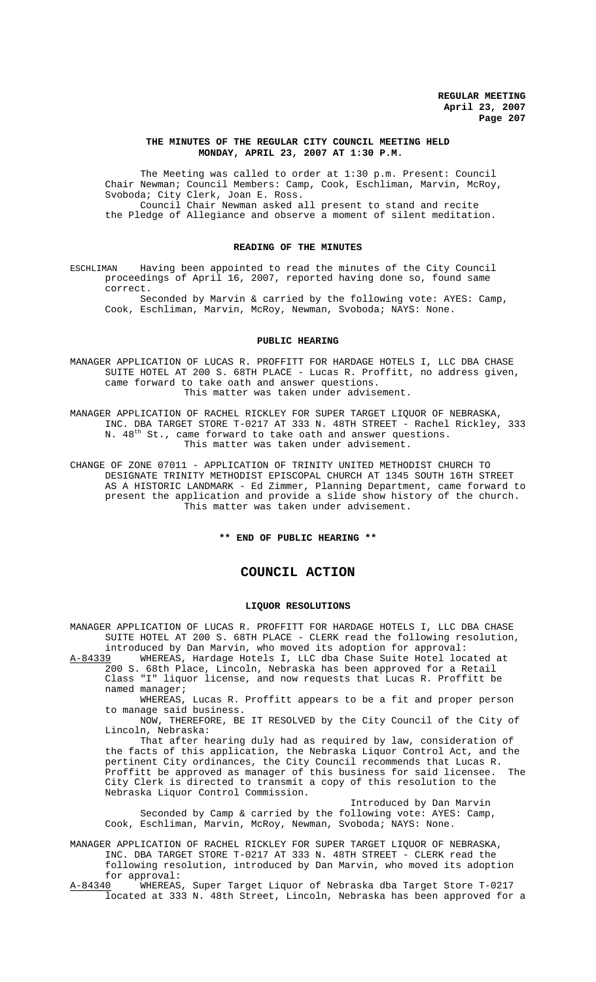### **THE MINUTES OF THE REGULAR CITY COUNCIL MEETING HELD MONDAY, APRIL 23, 2007 AT 1:30 P.M.**

The Meeting was called to order at 1:30 p.m. Present: Council Chair Newman; Council Members: Camp, Cook, Eschliman, Marvin, McRoy, Svoboda; City Clerk, Joan E. Ross. Council Chair Newman asked all present to stand and recite the Pledge of Allegiance and observe a moment of silent meditation.

# **READING OF THE MINUTES**

ESCHLIMAN Having been appointed to read the minutes of the City Council proceedings of April 16, 2007, reported having done so, found same correct.

Seconded by Marvin & carried by the following vote: AYES: Camp, Cook, Eschliman, Marvin, McRoy, Newman, Svoboda; NAYS: None.

### **PUBLIC HEARING**

MANAGER APPLICATION OF LUCAS R. PROFFITT FOR HARDAGE HOTELS I, LLC DBA CHASE SUITE HOTEL AT 200 S. 68TH PLACE - Lucas R. Proffitt, no address given, came forward to take oath and answer questions. This matter was taken under advisement.

MANAGER APPLICATION OF RACHEL RICKLEY FOR SUPER TARGET LIQUOR OF NEBRASKA, INC. DBA TARGET STORE T-0217 AT 333 N. 48TH STREET - Rachel Rickley, 333 N. 48<sup>th</sup> St., came forward to take oath and answer questions. This matter was taken under advisement.

CHANGE OF ZONE 07011 - APPLICATION OF TRINITY UNITED METHODIST CHURCH TO DESIGNATE TRINITY METHODIST EPISCOPAL CHURCH AT 1345 SOUTH 16TH STREET AS A HISTORIC LANDMARK - Ed Zimmer, Planning Department, came forward to present the application and provide a slide show history of the church. This matter was taken under advisement.

**\*\* END OF PUBLIC HEARING \*\***

# **COUNCIL ACTION**

### **LIQUOR RESOLUTIONS**

MANAGER APPLICATION OF LUCAS R. PROFFITT FOR HARDAGE HOTELS I, LLC DBA CHASE SUITE HOTEL AT 200 S. 68TH PLACE - CLERK read the following resolution,

introduced by Dan Marvin, who moved its adoption for approval:<br>A-84339 WHEREAS, Hardage Hotels I, LLC dba Chase Suite Hotel loc WHEREAS, Hardage Hotels I, LLC dba Chase Suite Hotel located at 200 S. 68th Place, Lincoln, Nebraska has been approved for a Retail Class "I" liquor license, and now requests that Lucas R. Proffitt be named manager;

WHEREAS, Lucas R. Proffitt appears to be a fit and proper person to manage said business.

NOW, THEREFORE, BE IT RESOLVED by the City Council of the City of Lincoln, Nebraska:

That after hearing duly had as required by law, consideration of the facts of this application, the Nebraska Liquor Control Act, and the pertinent City ordinances, the City Council recommends that Lucas R. Proffitt be approved as manager of this business for said licensee. The City Clerk is directed to transmit a copy of this resolution to the Nebraska Liquor Control Commission.

Introduced by Dan Marvin Seconded by Camp & carried by the following vote: AYES: Camp, Cook, Eschliman, Marvin, McRoy, Newman, Svoboda; NAYS: None.

MANAGER APPLICATION OF RACHEL RICKLEY FOR SUPER TARGET LIQUOR OF NEBRASKA, INC. DBA TARGET STORE T-0217 AT 333 N. 48TH STREET - CLERK read the following resolution, introduced by Dan Marvin, who moved its adoption for approval:<br><u>A-84340</u> WHEREAS

WHEREAS, Super Target Liquor of Nebraska dba Target Store T-0217 located at 333 N. 48th Street, Lincoln, Nebraska has been approved for a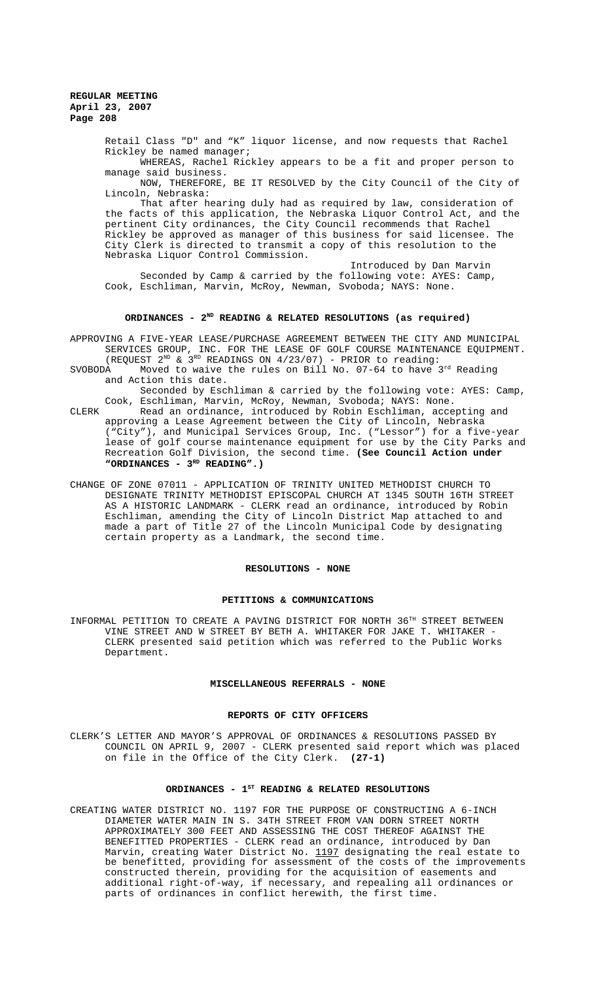**REGULAR MEETING April 23, 2007 Page 208**

> Retail Class "D" and "K" liquor license, and now requests that Rachel Rickley be named manager;

WHEREAS, Rachel Rickley appears to be a fit and proper person to manage said business.

NOW, THEREFORE, BE IT RESOLVED by the City Council of the City of Lincoln, Nebraska:

That after hearing duly had as required by law, consideration of the facts of this application, the Nebraska Liquor Control Act, and the pertinent City ordinances, the City Council recommends that Rachel Rickley be approved as manager of this business for said licensee. The City Clerk is directed to transmit a copy of this resolution to the Nebraska Liquor Control Commission.

Introduced by Dan Marvin Seconded by Camp & carried by the following vote: AYES: Camp, Cook, Eschliman, Marvin, McRoy, Newman, Svoboda; NAYS: None.

# ORDINANCES - 2<sup>ND</sup> READING & RELATED RESOLUTIONS (as required)

APPROVING A FIVE-YEAR LEASE/PURCHASE AGREEMENT BETWEEN THE CITY AND MUNICIPAL SERVICES GROUP, INC. FOR THE LEASE OF GOLF COURSE MAINTENANCE EQUIPMENT. (REQUEST  $2^{ND}$  &  $3^{RD}$  READINGS ON  $4/23/07$ ) - PRIOR to reading:

SVOBODA Moved to waive the rules on Bill No. 07-64 to have 3rd Reading and Action this date.

Seconded by Eschliman & carried by the following vote: AYES: Camp, Cook, Eschliman, Marvin, McRoy, Newman, Svoboda; NAYS: None. CLERK Read an ordinance, introduced by Robin Eschliman, accepting and approving a Lease Agreement between the City of Lincoln, Nebraska ("City"), and Municipal Services Group, Inc. ("Lessor") for a five-year lease of golf course maintenance equipment for use by the City Parks and Recreation Golf Division, the second time. **(See Council Action under**

"ORDINANCES - 3<sup>RD</sup> READING".)

CHANGE OF ZONE 07011 - APPLICATION OF TRINITY UNITED METHODIST CHURCH TO DESIGNATE TRINITY METHODIST EPISCOPAL CHURCH AT 1345 SOUTH 16TH STREET AS A HISTORIC LANDMARK - CLERK read an ordinance, introduced by Robin Eschliman, amending the City of Lincoln District Map attached to and made a part of Title 27 of the Lincoln Municipal Code by designating certain property as a Landmark, the second time.

#### **RESOLUTIONS - NONE**

#### **PETITIONS & COMMUNICATIONS**

INFORMAL PETITION TO CREATE A PAVING DISTRICT FOR NORTH 36TH STREET BETWEEN VINE STREET AND W STREET BY BETH A. WHITAKER FOR JAKE T. WHITAKER - CLERK presented said petition which was referred to the Public Works Department.

### **MISCELLANEOUS REFERRALS - NONE**

#### **REPORTS OF CITY OFFICERS**

CLERK'S LETTER AND MAYOR'S APPROVAL OF ORDINANCES & RESOLUTIONS PASSED BY COUNCIL ON APRIL 9, 2007 - CLERK presented said report which was placed on file in the Office of the City Clerk. **(27-1)**

### ORDINANCES - 1<sup>st</sup> READING & RELATED RESOLUTIONS

CREATING WATER DISTRICT NO. 1197 FOR THE PURPOSE OF CONSTRUCTING A 6-INCH DIAMETER WATER MAIN IN S. 34TH STREET FROM VAN DORN STREET NORTH APPROXIMATELY 300 FEET AND ASSESSING THE COST THEREOF AGAINST THE BENEFITTED PROPERTIES - CLERK read an ordinance, introduced by Dan Marvin, creating Water District No. 1197 designating the real estate to be benefitted, providing for assessment of the costs of the improvements constructed therein, providing for the acquisition of easements and additional right-of-way, if necessary, and repealing all ordinances or parts of ordinances in conflict herewith, the first time.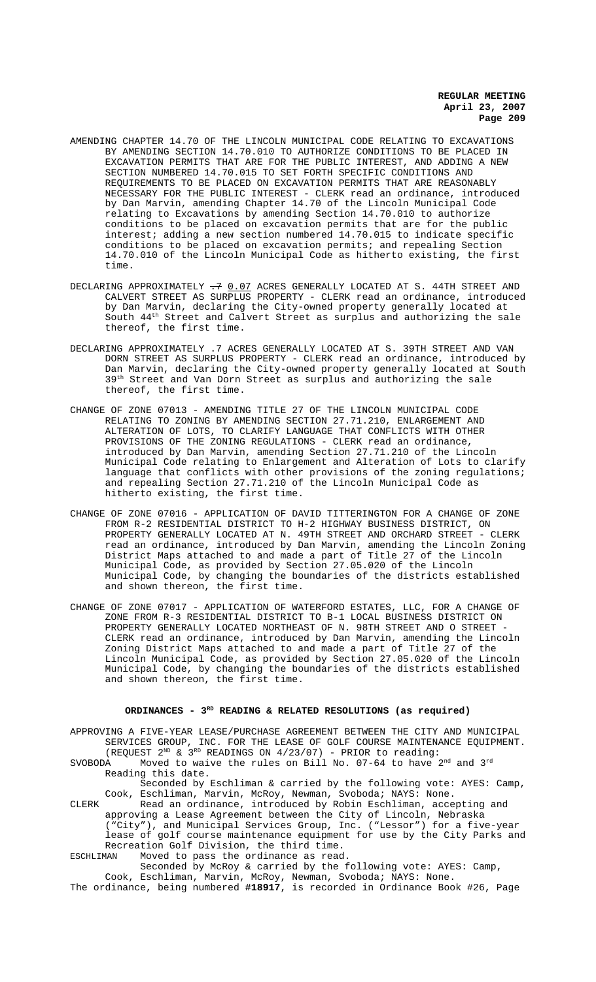**REGULAR MEETING April 23, 2007 Page 209**

- AMENDING CHAPTER 14.70 OF THE LINCOLN MUNICIPAL CODE RELATING TO EXCAVATIONS BY AMENDING SECTION 14.70.010 TO AUTHORIZE CONDITIONS TO BE PLACED IN EXCAVATION PERMITS THAT ARE FOR THE PUBLIC INTEREST, AND ADDING A NEW SECTION NUMBERED 14.70.015 TO SET FORTH SPECIFIC CONDITIONS AND REQUIREMENTS TO BE PLACED ON EXCAVATION PERMITS THAT ARE REASONABLY NECESSARY FOR THE PUBLIC INTEREST - CLERK read an ordinance, introduced by Dan Marvin, amending Chapter 14.70 of the Lincoln Municipal Code relating to Excavations by amending Section 14.70.010 to authorize conditions to be placed on excavation permits that are for the public interest; adding a new section numbered 14.70.015 to indicate specific conditions to be placed on excavation permits; and repealing Section 14.70.010 of the Lincoln Municipal Code as hitherto existing, the first time.
- DECLARING APPROXIMATELY  $\div$ 7 0.07 ACRES GENERALLY LOCATED AT S. 44TH STREET AND CALVERT STREET AS SURPLUS PROPERTY - CLERK read an ordinance, introduced by Dan Marvin, declaring the City-owned property generally located at South 44th Street and Calvert Street as surplus and authorizing the sale thereof, the first time.
- DECLARING APPROXIMATELY .7 ACRES GENERALLY LOCATED AT S. 39TH STREET AND VAN DORN STREET AS SURPLUS PROPERTY - CLERK read an ordinance, introduced by Dan Marvin, declaring the City-owned property generally located at South 39<sup>th</sup> Street and Van Dorn Street as surplus and authorizing the sale thereof, the first time.
- CHANGE OF ZONE 07013 AMENDING TITLE 27 OF THE LINCOLN MUNICIPAL CODE RELATING TO ZONING BY AMENDING SECTION 27.71.210, ENLARGEMENT AND ALTERATION OF LOTS, TO CLARIFY LANGUAGE THAT CONFLICTS WITH OTHER PROVISIONS OF THE ZONING REGULATIONS - CLERK read an ordinance, introduced by Dan Marvin, amending Section 27.71.210 of the Lincoln Municipal Code relating to Enlargement and Alteration of Lots to clarify language that conflicts with other provisions of the zoning regulations; and repealing Section 27.71.210 of the Lincoln Municipal Code as hitherto existing, the first time.
- CHANGE OF ZONE 07016 APPLICATION OF DAVID TITTERINGTON FOR A CHANGE OF ZONE FROM R-2 RESIDENTIAL DISTRICT TO H-2 HIGHWAY BUSINESS DISTRICT, ON PROPERTY GENERALLY LOCATED AT N. 49TH STREET AND ORCHARD STREET - CLERK read an ordinance, introduced by Dan Marvin, amending the Lincoln Zoning District Maps attached to and made a part of Title 27 of the Lincoln Municipal Code, as provided by Section 27.05.020 of the Lincoln Municipal Code, by changing the boundaries of the districts established and shown thereon, the first time.
- CHANGE OF ZONE 07017 APPLICATION OF WATERFORD ESTATES, LLC, FOR A CHANGE OF ZONE FROM R-3 RESIDENTIAL DISTRICT TO B-1 LOCAL BUSINESS DISTRICT ON PROPERTY GENERALLY LOCATED NORTHEAST OF N. 98TH STREET AND O STREET - CLERK read an ordinance, introduced by Dan Marvin, amending the Lincoln Zoning District Maps attached to and made a part of Title 27 of the Lincoln Municipal Code, as provided by Section 27.05.020 of the Lincoln Municipal Code, by changing the boundaries of the districts established and shown thereon, the first time.

### **ORDINANCES - 3RD READING & RELATED RESOLUTIONS (as required)**

APPROVING A FIVE-YEAR LEASE/PURCHASE AGREEMENT BETWEEN THE CITY AND MUNICIPAL SERVICES GROUP, INC. FOR THE LEASE OF GOLF COURSE MAINTENANCE EQUIPMENT. (REQUEST  $2^{ND}$  &  $3^{RD}$  READINGS ON  $4/23/07$ ) - PRIOR to reading:

SVOBODA Moved to waive the rules on Bill No. 07-64 to have  $2^{nd}$  and  $3^{rd}$ Reading this date.

Seconded by Eschliman & carried by the following vote: AYES: Camp, Cook, Eschliman, Marvin, McRoy, Newman, Svoboda; NAYS: None.

CLERK Read an ordinance, introduced by Robin Eschliman, accepting and approving a Lease Agreement between the City of Lincoln, Nebraska ("City"), and Municipal Services Group, Inc. ("Lessor") for a five-year lease of golf course maintenance equipment for use by the City Parks and Recreation Golf Division, the third time.

ESCHLIMAN Moved to pass the ordinance as read.

Seconded by McRoy & carried by the following vote: AYES: Camp, Cook, Eschliman, Marvin, McRoy, Newman, Svoboda; NAYS: None. The ordinance, being numbered **#18917**, is recorded in Ordinance Book #26, Page